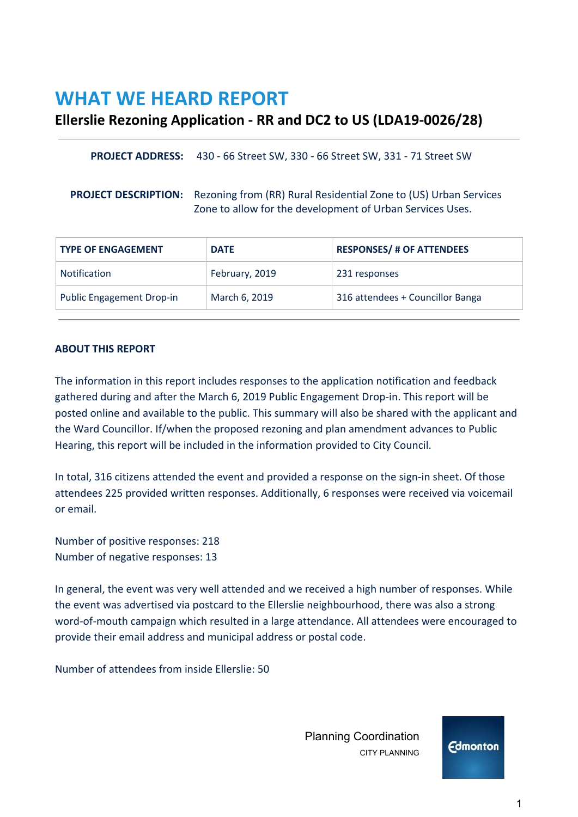# **WHAT WE HEARD REPORT**

# **Ellerslie Rezoning Application - RR and DC2 to US (LDA19-0026/28)**

| <b>PROJECT ADDRESS:</b> 430 - 66 Street SW, 330 - 66 Street SW, 331 - 71 Street SW |
|------------------------------------------------------------------------------------|
|                                                                                    |

**PROJECT DESCRIPTION:** Rezoning from (RR) Rural Residential Zone to (US) Urban Services Zone to allow for the development of Urban Services Uses.

| <b>TYPE OF ENGAGEMENT</b>        | <b>DATE</b>    | <b>RESPONSES/ # OF ATTENDEES</b> |
|----------------------------------|----------------|----------------------------------|
| <b>Notification</b>              | February, 2019 | 231 responses                    |
| <b>Public Engagement Drop-in</b> | March 6, 2019  | 316 attendees + Councillor Banga |

## **ABOUT THIS REPORT**

The information in this report includes responses to the application notification and feedback gathered during and after the March 6, 2019 Public Engagement Drop-in. This report will be posted online and available to the public. This summary will also be shared with the applicant and the Ward Councillor. If/when the proposed rezoning and plan amendment advances to Public Hearing, this report will be included in the information provided to City Council.

In total, 316 citizens attended the event and provided a response on the sign-in sheet. Of those attendees 225 provided written responses. Additionally, 6 responses were received via voicemail or email.

Number of positive responses: 218 Number of negative responses: 13

In general, the event was very well attended and we received a high number of responses. While the event was advertised via postcard to the Ellerslie neighbourhood, there was also a strong word-of-mouth campaign which resulted in a large attendance. All attendees were encouraged to provide their email address and municipal address or postal code.

Number of attendees from inside Ellerslie: 50

 Planning Coordination CITY PLANNING

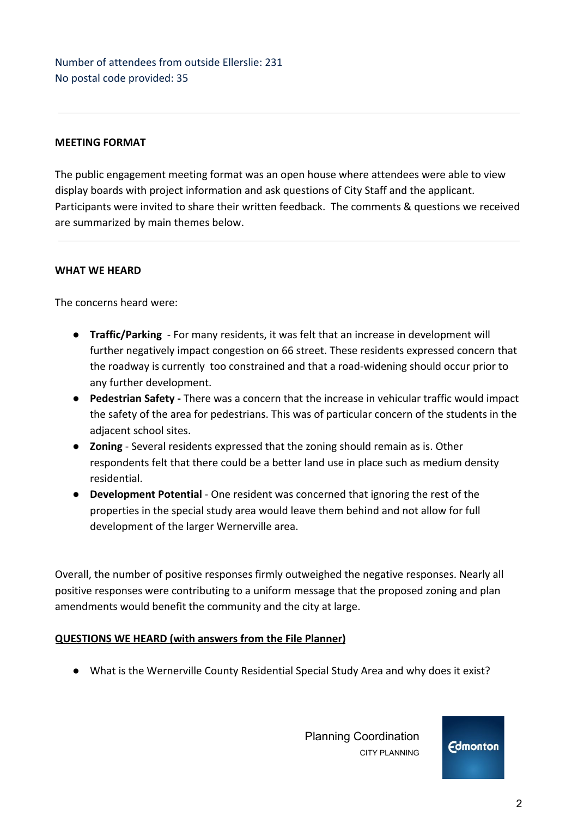Number of attendees from outside Ellerslie: 231 No postal code provided: 35

# **MEETING FORMAT**

The public engagement meeting format was an open house where attendees were able to view display boards with project information and ask questions of City Staff and the applicant. Participants were invited to share their written feedback. The comments & questions we received are summarized by main themes below.

## **WHAT WE HEARD**

The concerns heard were:

- **Traffic/Parking**  For many residents, it was felt that an increase in development will further negatively impact congestion on 66 street. These residents expressed concern that the roadway is currently too constrained and that a road-widening should occur prior to any further development.
- **Pedestrian Safety** There was a concern that the increase in vehicular traffic would impact the safety of the area for pedestrians. This was of particular concern of the students in the adjacent school sites.
- **Zoning** Several residents expressed that the zoning should remain as is. Other respondents felt that there could be a better land use in place such as medium density residential.
- **Development Potential** One resident was concerned that ignoring the rest of the properties in the special study area would leave them behind and not allow for full development of the larger Wernerville area.

Overall, the number of positive responses firmly outweighed the negative responses. Nearly all positive responses were contributing to a uniform message that the proposed zoning and plan amendments would benefit the community and the city at large.

## **QUESTIONS WE HEARD (with answers from the File Planner)**

● What is the Wernerville County Residential Special Study Area and why does it exist?

 Planning Coordination CITY PLANNING

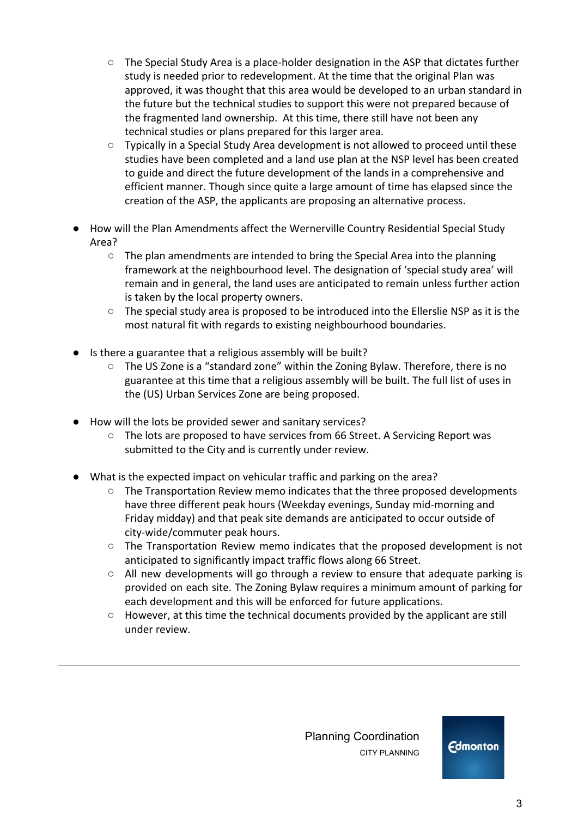- $\circ$  The Special Study Area is a place-holder designation in the ASP that dictates further study is needed prior to redevelopment. At the time that the original Plan was approved, it was thought that this area would be developed to an urban standard in the future but the technical studies to support this were not prepared because of the fragmented land ownership. At this time, there still have not been any technical studies or plans prepared for this larger area.
- Typically in a Special Study Area development is not allowed to proceed until these studies have been completed and a land use plan at the NSP level has been created to guide and direct the future development of the lands in a comprehensive and efficient manner. Though since quite a large amount of time has elapsed since the creation of the ASP, the applicants are proposing an alternative process.
- How will the Plan Amendments affect the Wernerville Country Residential Special Study Area?
	- $\circ$  The plan amendments are intended to bring the Special Area into the planning framework at the neighbourhood level. The designation of 'special study area' will remain and in general, the land uses are anticipated to remain unless further action is taken by the local property owners.
	- The special study area is proposed to be introduced into the Ellerslie NSP as it is the most natural fit with regards to existing neighbourhood boundaries.
- Is there a guarantee that a religious assembly will be built?
	- The US Zone is a "standard zone" within the Zoning Bylaw. Therefore, there is no guarantee at this time that a religious assembly will be built. The full list of uses in the (US) Urban Services Zone are being proposed.
- How will the lots be provided sewer and sanitary services?
	- The lots are proposed to have services from 66 Street. A Servicing Report was submitted to the City and is currently under review.
- What is the expected impact on vehicular traffic and parking on the area?
	- The Transportation Review memo indicates that the three proposed developments have three different peak hours (Weekday evenings, Sunday mid-morning and Friday midday) and that peak site demands are anticipated to occur outside of city-wide/commuter peak hours.
	- The Transportation Review memo indicates that the proposed development is not anticipated to significantly impact traffic flows along 66 Street.
	- All new developments will go through a review to ensure that adequate parking is provided on each site. The Zoning Bylaw requires a minimum amount of parking for each development and this will be enforced for future applications.
	- However, at this time the technical documents provided by the applicant are still under review.